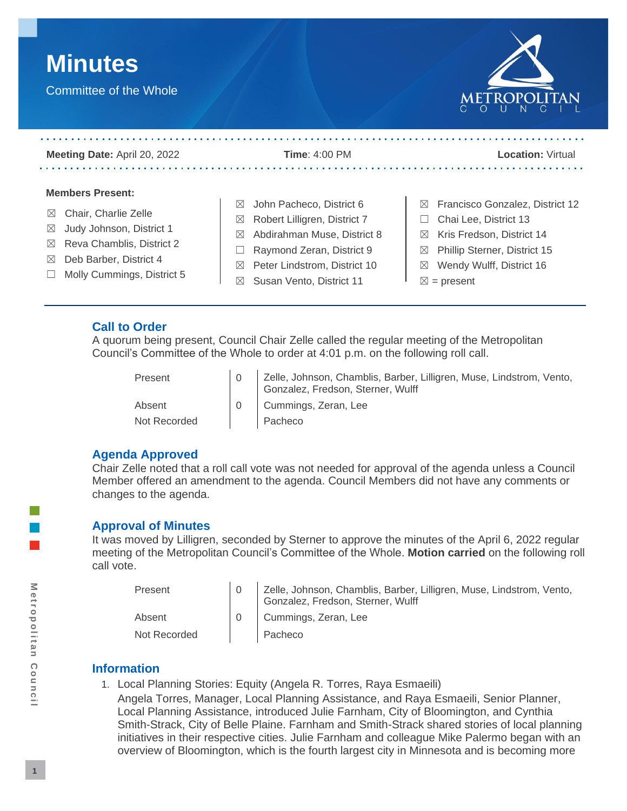



| <b>Meeting Date: April 20, 2022</b>     | <b>Time: 4:00 PM</b>                        | <b>Location: Virtual</b>                           |
|-----------------------------------------|---------------------------------------------|----------------------------------------------------|
| <b>Members Present:</b>                 |                                             |                                                    |
|                                         | John Pacheco, District 6<br>$\bowtie$       | Francisco Gonzalez, District 12<br>$\boxtimes$     |
| Chair, Charlie Zelle<br>$\boxtimes$     | Robert Lilligren, District 7<br>$\boxtimes$ | Chai Lee, District 13                              |
| Judy Johnson, District 1<br>$\boxtimes$ | Abdirahman Muse, District 8<br>⊠            | Kris Fredson, District 14<br>$\bowtie$             |
| Reva Chamblis, District 2<br>$\bowtie$  |                                             |                                                    |
| Deb Barber, District 4<br>$\bowtie$     | Raymond Zeran, District 9                   | <b>Phillip Sterner, District 15</b><br>$\boxtimes$ |
|                                         | Peter Lindstrom, District 10<br>$\boxtimes$ | Wendy Wulff, District 16<br>$\boxtimes$            |
| Molly Cummings, District 5              | Susan Vento, District 11<br>⊠               | $\boxtimes$ = present                              |

# **Call to Order**

A quorum being present, Council Chair Zelle called the regular meeting of the Metropolitan Council's Committee of the Whole to order at 4:01 p.m. on the following roll call.

| Present      | 10 Zelle, Johnson, Chamblis, Barber, Lilligren, Muse, Lindstrom, Vento,<br>Gonzalez, Fredson, Sterner, Wulff |
|--------------|--------------------------------------------------------------------------------------------------------------|
| Absent       | 0 Cummings, Zeran, Lee                                                                                       |
| Not Recorded | Pacheco                                                                                                      |

# **Agenda Approved**

Chair Zelle noted that a roll call vote was not needed for approval of the agenda unless a Council Member offered an amendment to the agenda. Council Members did not have any comments or changes to the agenda.

# **Approval of Minutes**

It was moved by Lilligren, seconded by Sterner to approve the minutes of the April 6, 2022 regular meeting of the Metropolitan Council's Committee of the Whole. **Motion carried** on the following roll call vote.

| Present      | Zelle, Johnson, Chamblis, Barber, Lilligren, Muse, Lindstrom, Vento,<br>Gonzalez, Fredson, Sterner, Wulff |
|--------------|-----------------------------------------------------------------------------------------------------------|
| Absent       | Cummings, Zeran, Lee                                                                                      |
| Not Recorded | Pacheco                                                                                                   |

# **Information**

1. Local Planning Stories: Equity (Angela R. Torres, Raya Esmaeili)

Angela Torres, Manager, Local Planning Assistance, and Raya Esmaeili, Senior Planner, Local Planning Assistance, introduced Julie Farnham, City of Bloomington, and Cynthia Smith-Strack, City of Belle Plaine. Farnham and Smith-Strack shared stories of local planning initiatives in their respective cities. Julie Farnham and colleague Mike Palermo began with an overview of Bloomington, which is the fourth largest city in Minnesota and is becoming more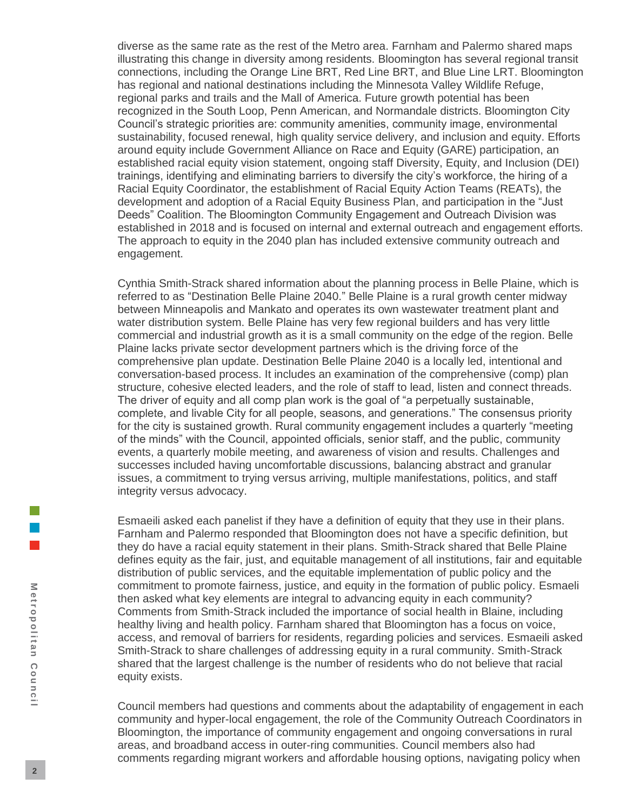diverse as the same rate as the rest of the Metro area. Farnham and Palermo shared maps illustrating this change in diversity among residents. Bloomington has several regional transit connections, including the Orange Line BRT, Red Line BRT, and Blue Line LRT. Bloomington has regional and national destinations including the Minnesota Valley Wildlife Refuge, regional parks and trails and the Mall of America. Future growth potential has been recognized in the South Loop, Penn American, and Normandale districts. Bloomington City Council's strategic priorities are: community amenities, community image, environmental sustainability, focused renewal, high quality service delivery, and inclusion and equity. Efforts around equity include Government Alliance on Race and Equity (GARE) participation, an established racial equity vision statement, ongoing staff Diversity, Equity, and Inclusion (DEI) trainings, identifying and eliminating barriers to diversify the city's workforce, the hiring of a Racial Equity Coordinator, the establishment of Racial Equity Action Teams (REATs), the development and adoption of a Racial Equity Business Plan, and participation in the "Just Deeds" Coalition. The Bloomington Community Engagement and Outreach Division was established in 2018 and is focused on internal and external outreach and engagement efforts. The approach to equity in the 2040 plan has included extensive community outreach and engagement.

Cynthia Smith-Strack shared information about the planning process in Belle Plaine, which is referred to as "Destination Belle Plaine 2040." Belle Plaine is a rural growth center midway between Minneapolis and Mankato and operates its own wastewater treatment plant and water distribution system. Belle Plaine has very few regional builders and has very little commercial and industrial growth as it is a small community on the edge of the region. Belle Plaine lacks private sector development partners which is the driving force of the comprehensive plan update. Destination Belle Plaine 2040 is a locally led, intentional and conversation-based process. It includes an examination of the comprehensive (comp) plan structure, cohesive elected leaders, and the role of staff to lead, listen and connect threads. The driver of equity and all comp plan work is the goal of "a perpetually sustainable, complete, and livable City for all people, seasons, and generations." The consensus priority for the city is sustained growth. Rural community engagement includes a quarterly "meeting of the minds" with the Council, appointed officials, senior staff, and the public, community events, a quarterly mobile meeting, and awareness of vision and results. Challenges and successes included having uncomfortable discussions, balancing abstract and granular issues, a commitment to trying versus arriving, multiple manifestations, politics, and staff integrity versus advocacy.

Esmaeili asked each panelist if they have a definition of equity that they use in their plans. Farnham and Palermo responded that Bloomington does not have a specific definition, but they do have a racial equity statement in their plans. Smith-Strack shared that Belle Plaine defines equity as the fair, just, and equitable management of all institutions, fair and equitable distribution of public services, and the equitable implementation of public policy and the commitment to promote fairness, justice, and equity in the formation of public policy. Esmaeli then asked what key elements are integral to advancing equity in each community? Comments from Smith-Strack included the importance of social health in Blaine, including healthy living and health policy. Farnham shared that Bloomington has a focus on voice, access, and removal of barriers for residents, regarding policies and services. Esmaeili asked Smith-Strack to share challenges of addressing equity in a rural community. Smith-Strack shared that the largest challenge is the number of residents who do not believe that racial equity exists.

Council members had questions and comments about the adaptability of engagement in each community and hyper-local engagement, the role of the Community Outreach Coordinators in Bloomington, the importance of community engagement and ongoing conversations in rural areas, and broadband access in outer-ring communities. Council members also had comments regarding migrant workers and affordable housing options, navigating policy when